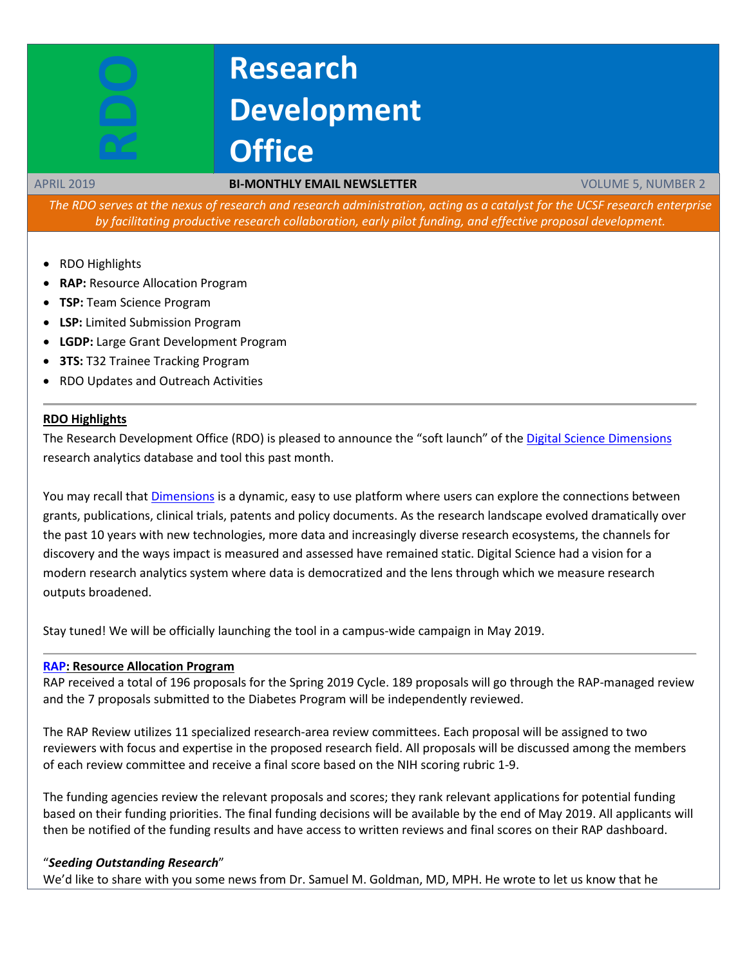# **Research Development Office**

#### APRIL 2019 **BI-MONTHLY EMAIL NEWSLETTER** VOLUME 5, NUMBER 2

The RDO serves at the nexus of research and research administration, acting as a catalyst for the UCSF research enterprise *by facilitating productive research collaboration, early pilot funding, and effective proposal development.*

- RDO Highlights
- **RAP:** Resource Allocation Program
- **TSP:** Team Science Program
- **LSP:** Limited Submission Program
- **LGDP:** Large Grant Development Program
- **3TS:** T32 Trainee Tracking Program
- RDO Updates and Outreach Activities

#### **RDO Highlights**

The Research Development Office (RDO) is pleased to announce the "soft launch" of th[e Digital Science Dimensions](https://rdo.ucsf.edu/sites/rdo.ucsf.edu/files/Research%20Analytics%20Tool%20Dimensions.pdf) research analytics database and tool this past month.

You may recall that [Dimensions](https://www.dimensions.ai/) is a dynamic, easy to use platform where users can explore the connections between grants, publications, clinical trials, patents and policy documents. As the research landscape evolved dramatically over the past 10 years with new technologies, more data and increasingly diverse research ecosystems, the channels for discovery and the ways impact is measured and assessed have remained static. Digital Science had a vision for a modern research analytics system where data is democratized and the lens through which we measure research outputs broadened.

Stay tuned! We will be officially launching the tool in a campus-wide campaign in May 2019.

#### **[RAP:](https://rap.ucsf.edu/) Resource Allocation Program**

RAP received a total of 196 proposals for the Spring 2019 Cycle. 189 proposals will go through the RAP-managed review and the 7 proposals submitted to the Diabetes Program will be independently reviewed.

The RAP Review utilizes 11 specialized research-area review committees. Each proposal will be assigned to two reviewers with focus and expertise in the proposed research field. All proposals will be discussed among the members of each review committee and receive a final score based on the NIH scoring rubric 1-9.

The funding agencies review the relevant proposals and scores; they rank relevant applications for potential funding based on their funding priorities. The final funding decisions will be available by the end of May 2019. All applicants will then be notified of the funding results and have access to written reviews and final scores on their RAP dashboard.

#### "*Seeding Outstanding Research*"

We'd like to share with you some news from Dr. Samuel M. Goldman, MD, MPH. He wrote to let us know that he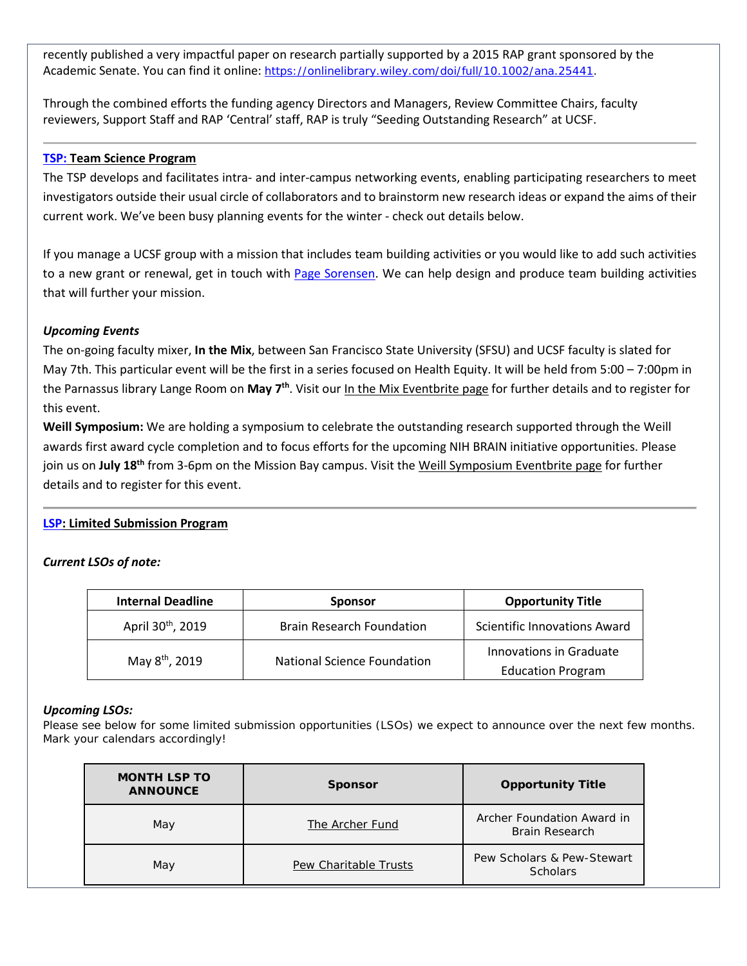recently published a very impactful paper on research partially supported by a 2015 RAP grant sponsored by the Academic Senate. You can find it online: [https://onlinelibrary.wiley.com/doi/full/10.1002/ana.25441.](https://onlinelibrary.wiley.com/doi/full/10.1002/ana.25441)

Through the combined efforts the funding agency Directors and Managers, Review Committee Chairs, faculty reviewers, Support Staff and RAP 'Central' staff, RAP is truly "Seeding Outstanding Research" at UCSF.

### **[TSP:](http://rdo.ucsf.edu/team-science-research-innovation-program-tsrip) Team Science Program**

The TSP develops and facilitates intra- and inter-campus networking events, enabling participating researchers to meet investigators outside their usual circle of collaborators and to brainstorm new research ideas or expand the aims of their current work. We've been busy planning events for the winter - check out details below.

If you manage a UCSF group with a mission that includes team building activities or you would like to add such activities to a new grant or renewal, get in touch with Page [Sorensen.](mailto:page.sorensen@ucsf.edu) We can help design and produce team building activities that will further your mission.

### *Upcoming Events*

The on-going faculty mixer, **In the Mix**, between San Francisco State University (SFSU) and UCSF faculty is slated for May 7th. This particular event will be the first in a series focused on Health Equity. It will be held from 5:00 – 7:00pm in the Parnassus library Lange Room on **May 7th**. Visit our In the Mix [Eventbrite](https://www.eventbrite.com/e/sf-in-the-mix-tickets-52236120643?aff=website) page for further details and to register for this event.

**Weill Symposium:** We are holding a symposium to celebrate the outstanding research supported through the Weill awards first award cycle completion and to focus efforts for the upcoming NIH BRAIN initiative opportunities. Please join us on **July 18th** from 3-6pm on the Mission Bay campus. Visit the Weill [Symposium](https://www.eventbrite.com/e/weill-symposium-tickets-60139992336?aff=website) Eventbrite page for further details and to register for this event.

### **[LSP:](http://rdo.ucsf.edu/limited-submission-program-lsp) Limited Submission Program**

### *Current LSOs of note:*

| <b>Internal Deadline</b>      | <b>Sponsor</b>                   | <b>Opportunity Title</b>                            |
|-------------------------------|----------------------------------|-----------------------------------------------------|
| April 30 <sup>th</sup> , 2019 | <b>Brain Research Foundation</b> | <b>Scientific Innovations Award</b>                 |
| May 8 <sup>th</sup> , 2019    | National Science Foundation      | Innovations in Graduate<br><b>Education Program</b> |

#### *Upcoming LSOs:*

Please see below for some limited submission opportunities (LSOs) we expect to announce over the next few months. Mark your calendars accordingly!

| <b>MONTH LSP TO</b><br><b>ANNOUNCE</b> | <b>Sponsor</b>        | <b>Opportunity Title</b>                            |
|----------------------------------------|-----------------------|-----------------------------------------------------|
| May                                    | The Archer Fund       | Archer Foundation Award in<br><b>Brain Research</b> |
| May                                    | Pew Charitable Trusts | Pew Scholars & Pew-Stewart<br><b>Scholars</b>       |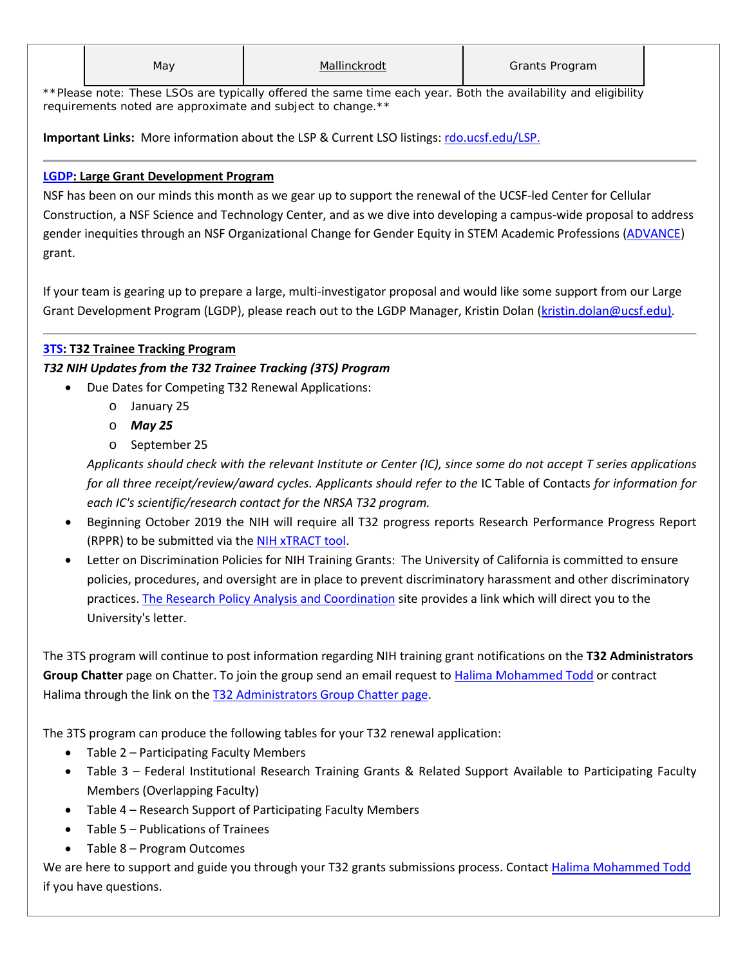\*\*Please note: These LSOs are typically offered the same time each year. Both the availability and eligibility *requirements noted are approximate and subject to change.\*\**

**Important Links:** More information about the LSP & Current LSO listings: [rdo.ucsf.edu/LSP.](http://rdo.ucsf.edu/limited-submission-program-lsp)

# **[LGDP:](http://rdo.ucsf.edu/large-grant-development-program-lgdp) Large Grant Development Program**

NSF has been on our minds this month as we gear up to support the renewal of the UCSF-led Center for Cellular Construction, a NSF Science and Technology Center, and as we dive into developing a campus-wide proposal to address gender inequities through an NSF Organizational Change for Gender Equity in STEM Academic Professions [\(ADVANCE\)](https://www.nsf.gov/pubs/2019/nsf19552/nsf19552.pdf) grant.

If your team is gearing up to prepare a large, multi-investigator proposal and would like some support from our Large Grant Development Program (LGDP), please reach out to the LGDP Manager, Kristin Dolan [\(kristin.dolan@ucsf.edu\)](mailto:kristin.dolan@ucsf.edu).

# **[3TS:](https://accelerate.ucsf.edu/training/t32-resources#tracking) T32 Trainee Tracking Program**

# *T32 NIH Updates from the T32 Trainee Tracking (3TS) Program*

- Due Dates for Competing T32 Renewal Applications:
	- o January 25
	- o *May 25*
	- o September 25

*Applicants should check with the relevant Institute or Center (IC), since some do not accept T series applications for all three receipt/review/award cycles. Applicants should refer to the IC Table of Contacts for information for each IC's scientific/research contact for the NRSA T32 program.*

- Beginning October 2019 the NIH will require all T32 progress reports Research Performance Progress Report (RPPR) to be submitted via the [NIH xTRACT](https://grants.nih.gov/grants/guide/notice-files/NOT-OD-18-133.html) tool.
- Letter on Discrimination Policies for NIH Training Grants: The University of California is committed to ensure policies, procedures, and oversight are in place to prevent discriminatory harassment and other discriminatory practices[. The Research Policy Analysis and Coordination](https://www.ucop.edu/research-policy-analysis-coordination/policies-guidance/discrimination-sexual-violence-and-harassment/index.html) site provides a link which will direct you to the University's letter.

The 3TS program will continue to post information regarding NIH training grant notifications on the **T32 Administrators Group Chatter** page on Chatter. To join the group send an email request t[o Halima Mohammed Todd](mailto:Halima.Mohammed@ucsf.edu) or contract Halima through the link on the T32 [Administrators](https://ucsf.my.salesforce.com/_ui/core/chatter/groups/GroupProfilePage?g=0F9A00000004SyW) Group Chatter page.

The 3TS program can produce the following tables for your T32 renewal application:

- Table 2 Participating Faculty Members
- Table 3 Federal Institutional Research Training Grants & Related Support Available to Participating Faculty Members (Overlapping Faculty)
- Table 4 Research Support of Participating Faculty Members
- Table 5 Publications of Trainees
- Table 8 Program Outcomes

We are here to support and guide you through your T32 grants submissions process. Contact [Halima Mohammed Todd](mailto:Halima.Mohammed@ucsf.edu) if you have questions.